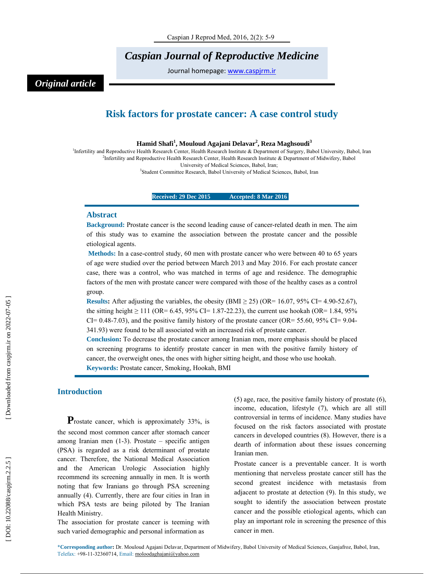# *Caspian Journal of Reproductive Medicine*

Journal homepage: www.caspjrm.ir

# *Original article*

## **Risk factors for prostate cancer: A case control study**

**Hamid Shafi 1 , Mouloud Agajani Delavar 2 , Reza Maghsoudi<sup>3</sup>**

<sup>1</sup>Infertility and Reproductive Health Research Center, Health Research Institute & Department of Surgery, Babol University, Babol, Iran 2 Infertility and Reproductive Health Research Center, Health Research Institute & Department of Midwifery, Babol University of Medical Sciences, Babol, Iran;

3 Student Committee Research, Babol University of Medical Sciences, Babol, Iran

**Received: 29 Dec 2015** Accepted: 8 Mar 2016

### **Abstract**

**Background:** Prostate cancer is the second leading cause of cancer-related death in men. The aim of this study was to examine the association between the prostate cancer and the possible etiological agents.

**Methods:** In a case-control study, 60 men with prostate cancer who were between 40 to 65 years of age were studied over the period between March 2013 and May 2016. For each prostate cancer case, there was a control, who was matched in terms of age and residence. The demographic factors of the men with prostate cancer were compared with those of the healthy cases as a control group.

**Results:** After adjusting the variables, the obesity (BMI  $\geq$  25) (OR= 16.07, 95% CI= 4.90-52.67), the sitting height  $\geq 111$  (OR= 6.45, 95% CI= 1.87-22.23), the current use hookah (OR= 1.84, 95% CI= 0.48-7.03), and the positive family history of the prostate cancer (OR=  $55.60$ ,  $95\%$  CI=  $9.04$ -341.93) were found to be all associated with an increased risk of prostate cancer.

**Conclusion:** To decrease the prostate cancer among Iranian men, more emphasis should be placed on screening programs to identify prostate cancer in men with the positive family history of cancer, the overweight ones, the ones with higher sitting height, and those who use hookah. **Keywords:** Prostate cancer, Smoking, Hookah, BMI

**Introduction**<br>**P**rostate cancer, which is approximately 33%, is the second most common cancer after stomach cancer among Iranian men (1-3). Prostate – specific antigen (PSA) is regarded as a risk determinant of prostate cancer. Therefore, the National Medical Association and the American Urologic Association highly recommend its screening annually in men. It is worth noting that few Iranians go through PSA screening annually (4). Currently, there are four cities in Iran in which PSA tests are being piloted by The Iranian Health Ministry.

The association for prostate cancer is teeming with such varied demographic and personal information as

(5) age, race, the positive family history of prostate (6), income, education, lifestyle (7), which are all still controversial in terms of incidence. Many studies have focused on the risk factors associated with prostate cancers in developed countries (8). However, there is a dearth of information about these issues concerning Iranian men.

Prostate cancer is a preventable cancer. It is worth mentioning that nerveless prostate cancer still has the second greatest incidence with metastasis from adjacent to prostate at detection (9). In this study, we sought to identify the association between prostate cancer and the possible etiological agents, which can play an important role in screening the presence of this cancer in men.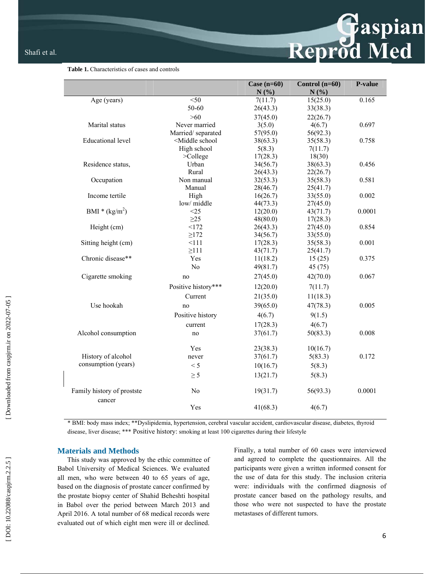### **Table 1.** Characteristics of cases and controls

|                                      |                                                                                    | Case $(n=60)$        | Control $(n=60)$     | P-value |
|--------------------------------------|------------------------------------------------------------------------------------|----------------------|----------------------|---------|
|                                      |                                                                                    | N(%)                 | N(%)                 |         |
| Age (years)                          | $<$ 50                                                                             | 7(11.7)              | 15(25.0)             | 0.165   |
|                                      | 50-60                                                                              | 26(43.3)             | 33(38.3)             |         |
|                                      | $>60$                                                                              | 37(45.0)             | 22(26.7)             |         |
| Marital status                       | Never married                                                                      | 3(5.0)               | 4(6.7)               | 0.697   |
|                                      | Married/separated                                                                  | 57(95.0)             | 56(92.3)             |         |
| <b>Educational level</b>             | <middle school<="" td=""><td>38(63.3)</td><td>35(58.3)</td><td>0.758</td></middle> | 38(63.3)             | 35(58.3)             | 0.758   |
|                                      | High school                                                                        | 5(8.3)               | 7(11.7)              |         |
|                                      | $>$ College                                                                        | 17(28.3)             | 18(30)               |         |
| Residence status,                    | Urban                                                                              | 34(56.7)             | 38(63.3)             | 0.456   |
|                                      | Rural                                                                              | 26(43.3)             | 22(26.7)             |         |
| Occupation                           | Non manual                                                                         | 32(53.3)             | 35(58.3)             | 0.581   |
|                                      | Manual                                                                             | 28(46.7)             | 25(41.7)             |         |
| Income tertile                       | High                                                                               | 16(26.7)             | 33(55.0)             | 0.002   |
|                                      | low/middle                                                                         | 44(73.3)             | 27(45.0)             |         |
| BMI * $(kg/m2)$                      | <25                                                                                | 12(20.0)             | 43(71.7)             | 0.0001  |
|                                      | $\geq$ 25<br><172                                                                  | 48(80.0)             | 17(28.3)             |         |
| Height (cm)                          | $\geq$ 172                                                                         | 26(43.3)<br>34(56.7) | 27(45.0)<br>33(55.0) | 0.854   |
| Sitting height (cm)                  | 111                                                                                | 17(28.3)             | 35(58.3)             | 0.001   |
|                                      | $\geq$ 111                                                                         | 43(71.7)             | 25(41.7)             |         |
| Chronic disease**                    | Yes                                                                                | 11(18.2)             | 15(25)               | 0.375   |
|                                      | N <sub>o</sub>                                                                     | 49(81.7)             | 45(75)               |         |
|                                      |                                                                                    |                      |                      |         |
| Cigarette smoking                    | no                                                                                 | 27(45.0)             | 42(70.0)             | 0.067   |
|                                      | Positive history***                                                                | 12(20.0)             | 7(11.7)              |         |
|                                      | Current                                                                            | 21(35.0)             | 11(18.3)             |         |
| Use hookah                           | no                                                                                 | 39(65.0)             | 47(78.3)             | 0.005   |
|                                      | Positive history                                                                   | 4(6.7)               | 9(1.5)               |         |
|                                      | current                                                                            | 17(28.3)             | 4(6.7)               |         |
| Alcohol consumption                  | no                                                                                 | 37(61.7)             | 50(83.3)             | 0.008   |
|                                      | Yes                                                                                | 23(38.3)             | 10(16.7)             |         |
| History of alcohol                   | never                                                                              | 37(61.7)             | 5(83.3)              | 0.172   |
| consumption (years)                  | $\leq 5$                                                                           | 10(16.7)             | 5(8.3)               |         |
|                                      | $\geq$ 5                                                                           | 13(21.7)             | 5(8.3)               |         |
|                                      |                                                                                    |                      |                      |         |
| Family history of prostste<br>cancer | N <sub>0</sub>                                                                     | 19(31.7)             | 56(93.3)             | 0.0001  |
|                                      | Yes                                                                                | 41(68.3)             | 4(6.7)               |         |

\* BMI: body mass index; \*\*Dyslipidemia, hypertension, cerebral vascular accident, cardiovascular disease, diabetes, thyroid disease, liver disease; \*\*\* Positive history: smoking at least 100 cigarettes during their lifestyle

### **Materials and Methods**

This study was approved by the ethic committee of Babol University of Medical Sciences. We evaluated all men, who were between 40 to 65 years of age, based on the diagnosis of prostate cancer confirmed by the prostate biopsy center of Shahid Beheshti hospital in Babol over the period between March 2013 and April 2016. A total number of 68 medical records were evaluated out of which eight men were ill or declined. Finally, a total number of 60 cases were interviewed and agreed to complete the questionnaires. All the participants were given a written informed consent for the use of data for this study. The inclusion criteria were: individuals with the confirmed diagnosis of prostate cancer based on the pathology results, and those who were not suspected to have the prostate metastases of different tumors.

Reprod Med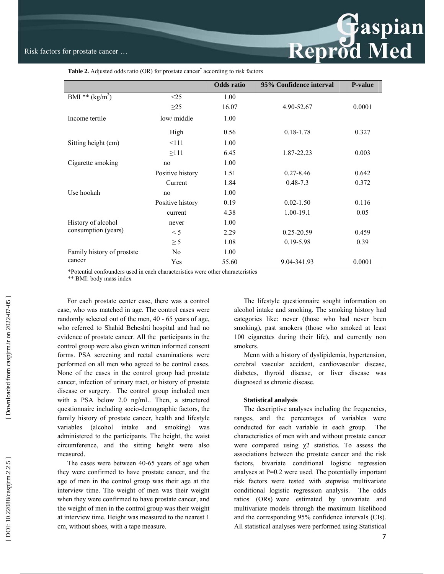# Reprod Med

Table 2. Adjusted odds ratio (OR) for prostate cancer<sup>\*</sup> according to risk factors

|                                           |                  | <b>Odds</b> ratio | 95% Confidence interval | <b>P-value</b> |
|-------------------------------------------|------------------|-------------------|-------------------------|----------------|
| BMI ** $(kg/m^2)$                         | $\leq$ 25        | 1.00              |                         |                |
|                                           | $\geq$ 25        | 16.07             | 4.90-52.67              | 0.0001         |
| Income tertile                            | low/ middle      | 1.00              |                         |                |
|                                           | High             | 0.56              | $0.18 - 1.78$           | 0.327          |
| Sitting height (cm)                       | <111             | 1.00              |                         |                |
|                                           | $\geq$ 111       | 6.45              | 1.87-22.23              | 0.003          |
| Cigarette smoking                         | no               | 1.00              |                         |                |
| Use hookah                                | Positive history | 1.51              | $0.27 - 8.46$           | 0.642          |
|                                           | Current          | 1.84              | $0.48 - 7.3$            | 0.372          |
|                                           | no               | 1.00              |                         |                |
|                                           | Positive history | 0.19              | $0.02 - 1.50$           | 0.116          |
|                                           | current          | 4.38              | $1.00 - 19.1$           | 0.05           |
| History of alcohol<br>consumption (years) | never            | 1.00              |                         |                |
|                                           | $\leq 5$         | 2.29              | $0.25 - 20.59$          | 0.459          |
|                                           | $\geq$ 5         | 1.08              | 0.19-5.98               | 0.39           |
| Family history of prostste<br>cancer      | N <sub>0</sub>   | 1.00              |                         |                |
|                                           | Yes              | 55.60             | 9.04-341.93             | 0.0001         |

\*Potential confounders used in each characteristics were other characteristics

\*\* BMI: body mass index

For each prostate center case, there was a control case, who was matched in age. The control cases were randomly selected out of the men, 40 - 65 years of age, who referred to Shahid Beheshti hospital and had no evidence of prostate cancer. All the participants in the control group were also given written informed consent forms. PSA screening and rectal examinations were performed on all men who agreed to be control cases. None of the cases in the control group had prostate cancer, infection of urinary tract, or history of prostate disease or surgery. The control group included men with a PSA below 2.0 ng/mL. Then, a structured questionnaire including socio-demographic factors, the family history of prostate cancer, health and lifestyle variables (alcohol intake and smoking) was administered to the participants. The height, the waist circumference, and the sitting height were also measured.

The cases were between 40-65 years of age when they were confirmed to have prostate cancer, and the age of men in the control group was their age at the interview time. The weight of men was their weight when they were confirmed to have prostate cancer, and the weight of men in the control group was their weight at interview time. Height was measured to the nearest 1 cm, without shoes, with a tape measure.

The lifestyle questionnaire sought information on alcohol intake and smoking. The smoking history had categories like: never (those who had never been smoking), past smokers (those who smoked at least 100 cigarettes during their life), and currently non smokers.

Menn with a history of dyslipidemia, hypertension, cerebral vascular accident, cardiovascular disease, diabetes, thyroid disease, or liver disease was diagnosed as chronic disease.

### **Statistical analysis**

The descriptive analyses including the frequencies, ranges, and the percentages of variables were conducted for each variable in each group. The characteristics of men with and without prostate cancer were compared using  $\chi^2$  statistics. To assess the associations between the prostate cancer and the risk factors, bivariate conditional logistic regression analyses at P=0.2 were used. The potentially important risk factors were tested with stepwise multivariate conditional logistic regression analysis. The odds ratios (ORs) were estimated by univariate and multivariate models through the maximum likelihood and the corresponding 95% confidence intervals (CIs). All statistical analyses were performed using Statistical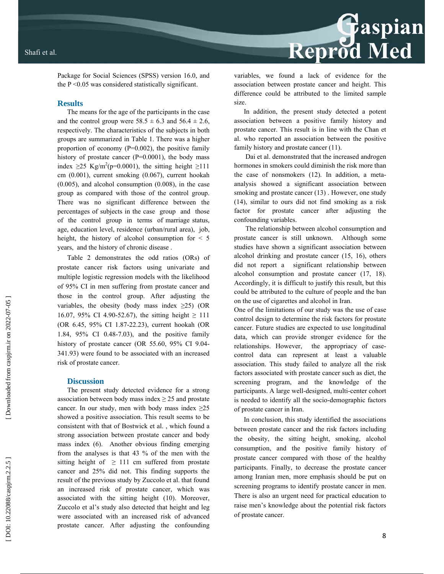

Package for Social Sciences (SPSS) version 16.0, and the P <0.05 was considered statistically significant.

### **Results**

The means for the age of the participants in the case and the control group were  $58.5 \pm 6.3$  and  $56.4 \pm 2.6$ , respectively. The characteristics of the subjects in both groups are summarized in Table 1. There was a higher proportion of economy (P=0.002), the positive family history of prostate cancer  $(P=0.0001)$ , the body mass index  $\geq$ 25 Kg/m<sup>2</sup>(p=0.0001), the sitting height  $\geq$ 111 cm (0.001), current smoking (0.067), current hookah (0.005), and alcohol consumption (0.008), in the case group as compared with those of the control group. There was no significant difference between the percentages of subjects in the case group and those of the control group in terms of marriage status, age, education level, residence (urban/rural area), job, height, the history of alcohol consumption for < 5 years, and the history of chronic disease .

Table 2 demonstrates the odd ratios (ORs) of prostate cancer risk factors using univariate and multiple logistic regression models with the likelihood of 95% CI in men suffering from prostate cancer and those in the control group. After adjusting the variables, the obesity (body mass index  $\geq$ 25) (OR 16.07, 95% CI 4.90-52.67), the sitting height  $\geq 111$ (OR 6.45, 95% CI 1.87-22.23), current hookah (OR 1.84, 95% CI 0.48-7.03), and the positive family history of prostate cancer (OR 55.60, 95% CI 9.04- 341.93) were found to be associated with an increased risk of prostate cancer.

### **Discussion**

The present study detected evidence for a strong association between body mass index  $\geq$  25 and prostate cancer. In our study, men with body mass index  $\geq 25$ showed a positive association. This result seems to be consistent with that of Bostwick et al. , which found a strong association between prostate cancer and body mass index (6). Another obvious finding emerging from the analyses is that 43 % of the men with the sitting height of  $\geq$  111 cm suffered from prostate cancer and 25% did not. This finding supports the result of the previous study by Zuccolo et al. that found an increased risk of prostate cancer, which was associated with the sitting height (10). Moreover, Zuccolo et al's study also detected that height and leg were associated with an increased risk of advanced prostate cancer. After adjusting the confounding

variables, we found a lack of evidence for the association between prostate cancer and height. This difference could be attributed to the limited sample size.

In addition, the present study detected a potent association between a positive family history and prostate cancer. This result is in line with the Chan et al. who reported an association between the positive family history and prostate cancer (11).

 Dai et al. demonstrated that the increased androgen hormones in smokers could diminish the risk more than the case of nonsmokers (12). In addition, a metaanalysis showed a significant association between smoking and prostate cancer (13) . However, one study (14), similar to ours did not find smoking as a risk factor for prostate cancer after adjusting the confounding variables.

 The relationship between alcohol consumption and prostate cancer is still unknown. Although some studies have shown a significant association between alcohol drinking and prostate cancer (15, 16), others did not report a significant relationship between alcohol consumption and prostate cancer (17, 18). Accordingly, it is difficult to justify this result, but this could be attributed to the culture of people and the ban on the use of cigarettes and alcohol in Iran.

One of the limitations of our study was the use of case control design to determine the risk factors for prostate cancer. Future studies are expected to use longitudinal data, which can provide stronger evidence for the relationships. However, the appropriacy of casecontrol data can represent at least a valuable association. This study failed to analyze all the risk factors associated with prostate cancer such as diet, the screening program, and the knowledge of the participants. A large well-designed, multi-center cohort is needed to identify all the socio-demographic factors of prostate cancer in Iran.

In conclusion, this study identified the associations between prostate cancer and the risk factors including the obesity, the sitting height, smoking, alcohol consumption, and the positive family history of prostate cancer compared with those of the healthy participants. Finally, to decrease the prostate cancer among Iranian men, more emphasis should be put on screening programs to identify prostate cancer in men. There is also an urgent need for practical education to raise men's knowledge about the potential risk factors of prostate cancer.